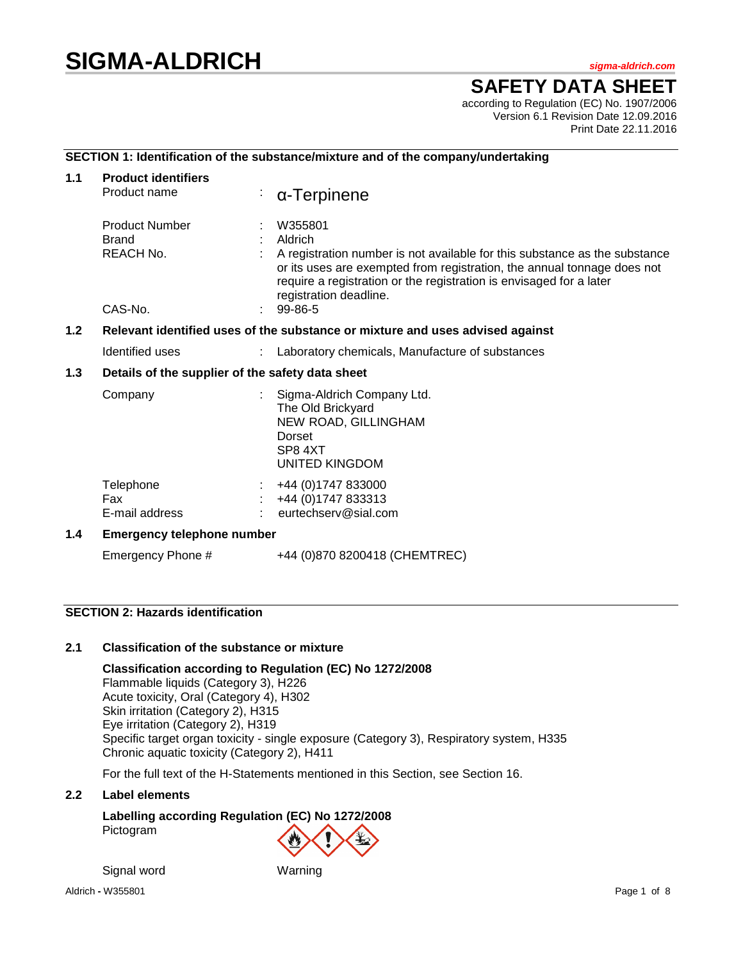# **SIGMA-ALDRICH** *sigma-aldrich.com*

# **SAFETY DATA SHEET**

according to Regulation (EC) No. 1907/2006 Version 6.1 Revision Date 12.09.2016 Print Date 22.11.2016

## **SECTION 1: Identification of the substance/mixture and of the company/undertaking**

| 1.1              | <b>Product identifiers</b>                                                    |  |                                                                                                                                                                                                                                                                              |  |  |  |
|------------------|-------------------------------------------------------------------------------|--|------------------------------------------------------------------------------------------------------------------------------------------------------------------------------------------------------------------------------------------------------------------------------|--|--|--|
|                  | Product name                                                                  |  | $\alpha$ -Terpinene                                                                                                                                                                                                                                                          |  |  |  |
|                  | <b>Product Number</b><br><b>Brand</b><br>REACH No.                            |  | W355801<br>Aldrich<br>A registration number is not available for this substance as the substance<br>or its uses are exempted from registration, the annual tonnage does not<br>require a registration or the registration is envisaged for a later<br>registration deadline. |  |  |  |
|                  | CAS-No.                                                                       |  | 99-86-5                                                                                                                                                                                                                                                                      |  |  |  |
| 1.2 <sub>2</sub> | Relevant identified uses of the substance or mixture and uses advised against |  |                                                                                                                                                                                                                                                                              |  |  |  |
|                  | Identified uses                                                               |  | Laboratory chemicals, Manufacture of substances                                                                                                                                                                                                                              |  |  |  |
| 1.3              | Details of the supplier of the safety data sheet                              |  |                                                                                                                                                                                                                                                                              |  |  |  |
|                  | Company                                                                       |  | Sigma-Aldrich Company Ltd.<br>The Old Brickyard<br>NEW ROAD, GILLINGHAM<br>Dorset<br>SP8 4XT<br><b>UNITED KINGDOM</b>                                                                                                                                                        |  |  |  |
|                  | Telephone<br>Fax<br>E-mail address                                            |  | +44 (0) 1747 833000<br>+44 (0) 1747 833313<br>eurtechserv@sial.com                                                                                                                                                                                                           |  |  |  |
| 1.4              | <b>Emergency telephone number</b>                                             |  |                                                                                                                                                                                                                                                                              |  |  |  |
|                  | Emergency Phone #                                                             |  | +44 (0)870 8200418 (CHEMTREC)                                                                                                                                                                                                                                                |  |  |  |

# **SECTION 2: Hazards identification**

# **2.1 Classification of the substance or mixture**

**Classification according to Regulation (EC) No 1272/2008** Flammable liquids (Category 3), H226 Acute toxicity, Oral (Category 4), H302 Skin irritation (Category 2), H315 Eye irritation (Category 2), H319 Specific target organ toxicity - single exposure (Category 3), Respiratory system, H335 Chronic aquatic toxicity (Category 2), H411

For the full text of the H-Statements mentioned in this Section, see Section 16.

#### **2.2 Label elements**

# **Labelling according Regulation (EC) No 1272/2008** Pictogram

Signal word Warning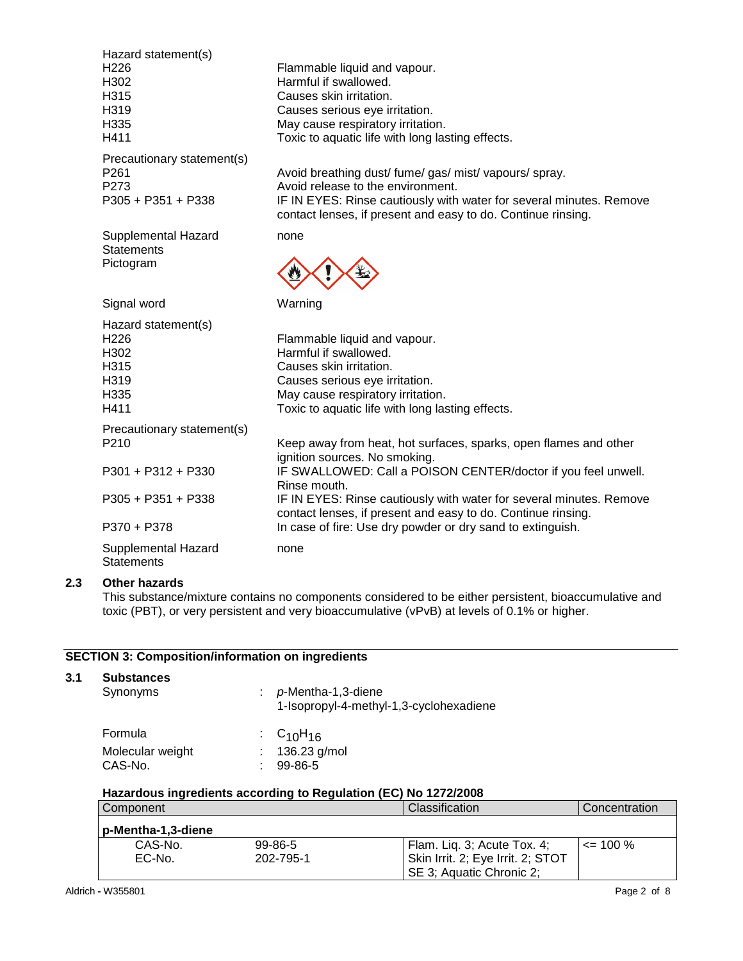|     | Hazard statement(s)<br>H <sub>226</sub><br>H302<br>H315<br>H319<br>H335<br>H411 | Flammable liquid and vapour.<br>Harmful if swallowed.<br>Causes skin irritation.<br>Causes serious eye irritation.<br>May cause respiratory irritation.<br>Toxic to aquatic life with long lasting effects.                                               |
|-----|---------------------------------------------------------------------------------|-----------------------------------------------------------------------------------------------------------------------------------------------------------------------------------------------------------------------------------------------------------|
|     | Precautionary statement(s)<br>P <sub>261</sub><br>P273<br>P305 + P351 + P338    | Avoid breathing dust/ fume/ gas/ mist/ vapours/ spray.<br>Avoid release to the environment.<br>IF IN EYES: Rinse cautiously with water for several minutes. Remove<br>contact lenses, if present and easy to do. Continue rinsing.                        |
|     | Supplemental Hazard<br><b>Statements</b><br>Pictogram                           | none                                                                                                                                                                                                                                                      |
|     | Signal word                                                                     | Warning                                                                                                                                                                                                                                                   |
|     | Hazard statement(s)<br>H <sub>226</sub><br>H302<br>H315<br>H319<br>H335<br>H411 | Flammable liquid and vapour.<br>Harmful if swallowed.<br>Causes skin irritation.<br>Causes serious eye irritation.<br>May cause respiratory irritation.<br>Toxic to aquatic life with long lasting effects.                                               |
|     | Precautionary statement(s)<br>P210<br>P301 + P312 + P330<br>P305 + P351 + P338  | Keep away from heat, hot surfaces, sparks, open flames and other<br>ignition sources. No smoking.<br>IF SWALLOWED: Call a POISON CENTER/doctor if you feel unwell.<br>Rinse mouth.<br>IF IN EYES: Rinse cautiously with water for several minutes. Remove |
|     | P370 + P378                                                                     | contact lenses, if present and easy to do. Continue rinsing.<br>In case of fire: Use dry powder or dry sand to extinguish.                                                                                                                                |
|     | Supplemental Hazard<br><b>Statements</b>                                        | none                                                                                                                                                                                                                                                      |
| 2.3 | <b>Other hazards</b>                                                            |                                                                                                                                                                                                                                                           |

This substance/mixture contains no components considered to be either persistent, bioaccumulative and toxic (PBT), or very persistent and very bioaccumulative (vPvB) at levels of 0.1% or higher.

# **SECTION 3: Composition/information on ingredients**

| 3.1 | <b>Substances</b><br>Synonyms                                   |  | $p$ -Mentha-1,3-diene<br>1-Isopropyl-4-methyl-1,3-cyclohexadiene |  |  |  |
|-----|-----------------------------------------------------------------|--|------------------------------------------------------------------|--|--|--|
|     | Formula                                                         |  | : $C_{10}H_{16}$                                                 |  |  |  |
|     | Molecular weight                                                |  | 136.23 g/mol                                                     |  |  |  |
|     | CAS-No.                                                         |  | $99 - 86 - 5$                                                    |  |  |  |
|     | Hazardous ingredients according to Regulation (EC) No 1272/2008 |  |                                                                  |  |  |  |
|     | Component                                                       |  | Classification                                                   |  |  |  |

| Component            |           | Classification                    | Concentration |
|----------------------|-----------|-----------------------------------|---------------|
| p-Mentha-1,3-diene ! |           |                                   |               |
| CAS-No.              | 99-86-5   | Flam. Lig. 3; Acute Tox. 4;       | $\leq$ 100 %  |
| $EC-No$              | 202-795-1 | Skin Irrit. 2; Eye Irrit. 2; STOT |               |
|                      |           | SE 3; Aquatic Chronic 2;          |               |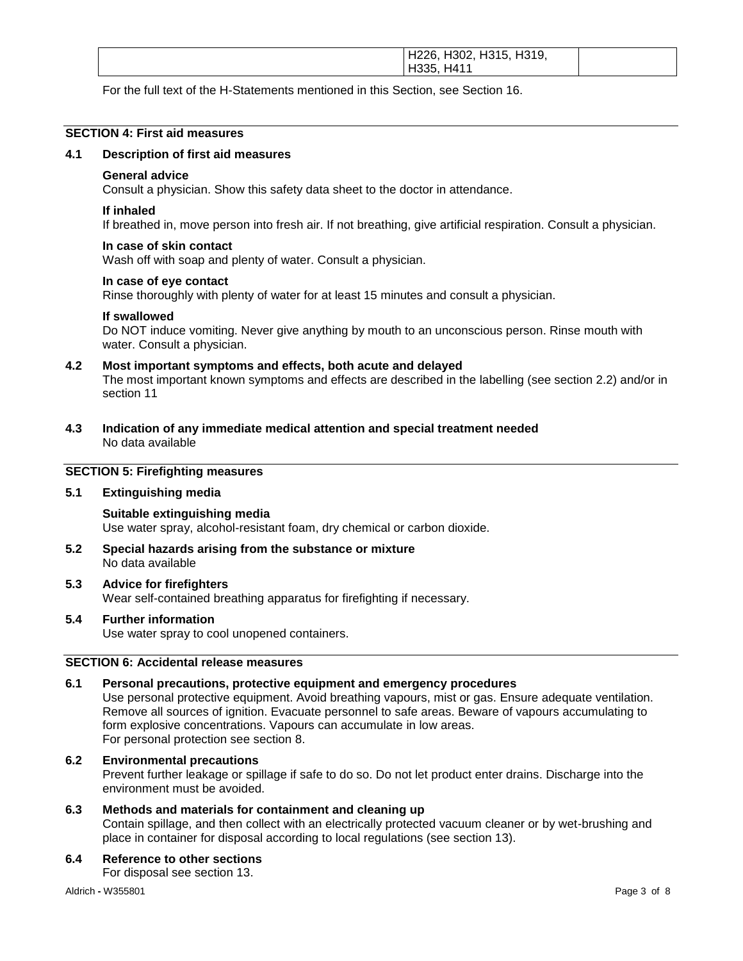| H226, H302, H315, H319,<br>. H411<br>H335. |  |
|--------------------------------------------|--|
|                                            |  |

For the full text of the H-Statements mentioned in this Section, see Section 16.

#### **SECTION 4: First aid measures**

#### **4.1 Description of first aid measures**

#### **General advice**

Consult a physician. Show this safety data sheet to the doctor in attendance.

#### **If inhaled**

If breathed in, move person into fresh air. If not breathing, give artificial respiration. Consult a physician.

#### **In case of skin contact**

Wash off with soap and plenty of water. Consult a physician.

#### **In case of eye contact**

Rinse thoroughly with plenty of water for at least 15 minutes and consult a physician.

#### **If swallowed**

Do NOT induce vomiting. Never give anything by mouth to an unconscious person. Rinse mouth with water. Consult a physician.

#### **4.2 Most important symptoms and effects, both acute and delayed**

The most important known symptoms and effects are described in the labelling (see section 2.2) and/or in section 11

**4.3 Indication of any immediate medical attention and special treatment needed** No data available

# **SECTION 5: Firefighting measures**

#### **5.1 Extinguishing media**

**Suitable extinguishing media** Use water spray, alcohol-resistant foam, dry chemical or carbon dioxide.

**5.2 Special hazards arising from the substance or mixture** No data available

#### **5.3 Advice for firefighters**

Wear self-contained breathing apparatus for firefighting if necessary.

# **5.4 Further information**

Use water spray to cool unopened containers.

## **SECTION 6: Accidental release measures**

#### **6.1 Personal precautions, protective equipment and emergency procedures**

Use personal protective equipment. Avoid breathing vapours, mist or gas. Ensure adequate ventilation. Remove all sources of ignition. Evacuate personnel to safe areas. Beware of vapours accumulating to form explosive concentrations. Vapours can accumulate in low areas. For personal protection see section 8.

# **6.2 Environmental precautions**

Prevent further leakage or spillage if safe to do so. Do not let product enter drains. Discharge into the environment must be avoided.

# **6.3 Methods and materials for containment and cleaning up**

Contain spillage, and then collect with an electrically protected vacuum cleaner or by wet-brushing and place in container for disposal according to local regulations (see section 13).

#### **6.4 Reference to other sections**

For disposal see section 13.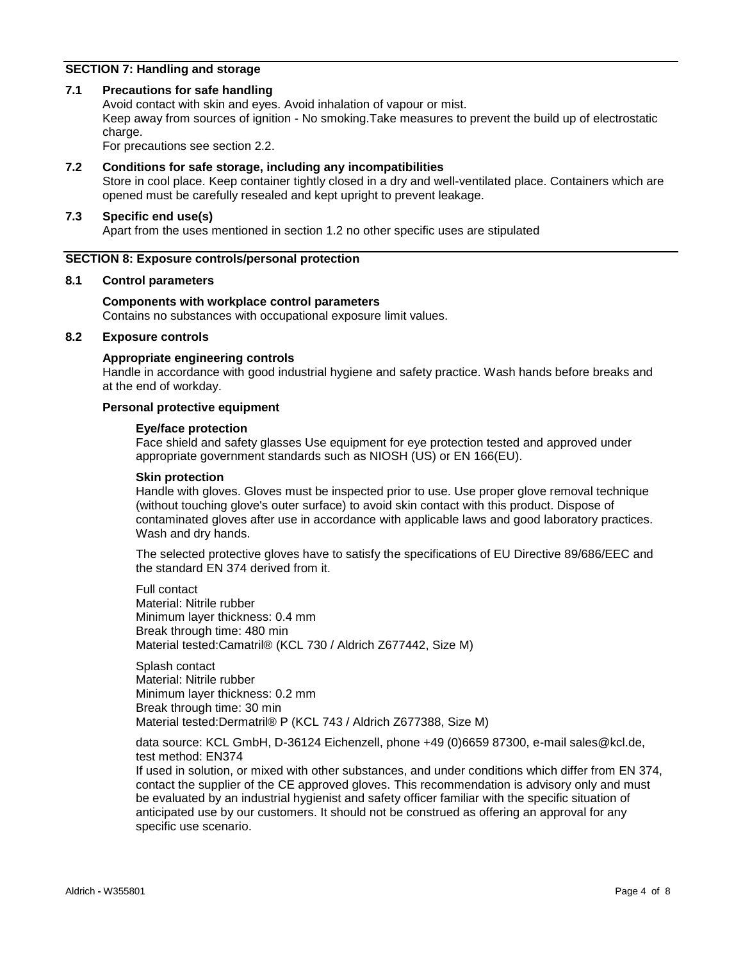## **SECTION 7: Handling and storage**

#### **7.1 Precautions for safe handling**

Avoid contact with skin and eyes. Avoid inhalation of vapour or mist. Keep away from sources of ignition - No smoking.Take measures to prevent the build up of electrostatic charge.

For precautions see section 2.2.

#### **7.2 Conditions for safe storage, including any incompatibilities**

Store in cool place. Keep container tightly closed in a dry and well-ventilated place. Containers which are opened must be carefully resealed and kept upright to prevent leakage.

# **7.3 Specific end use(s)**

Apart from the uses mentioned in section 1.2 no other specific uses are stipulated

#### **SECTION 8: Exposure controls/personal protection**

#### **8.1 Control parameters**

#### **Components with workplace control parameters**

Contains no substances with occupational exposure limit values.

# **8.2 Exposure controls**

#### **Appropriate engineering controls**

Handle in accordance with good industrial hygiene and safety practice. Wash hands before breaks and at the end of workday.

## **Personal protective equipment**

#### **Eye/face protection**

Face shield and safety glasses Use equipment for eye protection tested and approved under appropriate government standards such as NIOSH (US) or EN 166(EU).

#### **Skin protection**

Handle with gloves. Gloves must be inspected prior to use. Use proper glove removal technique (without touching glove's outer surface) to avoid skin contact with this product. Dispose of contaminated gloves after use in accordance with applicable laws and good laboratory practices. Wash and dry hands.

The selected protective gloves have to satisfy the specifications of EU Directive 89/686/EEC and the standard EN 374 derived from it.

Full contact Material: Nitrile rubber Minimum layer thickness: 0.4 mm Break through time: 480 min Material tested:Camatril® (KCL 730 / Aldrich Z677442, Size M)

Splash contact Material: Nitrile rubber Minimum layer thickness: 0.2 mm Break through time: 30 min Material tested:Dermatril® P (KCL 743 / Aldrich Z677388, Size M)

data source: KCL GmbH, D-36124 Eichenzell, phone +49 (0)6659 87300, e-mail sales@kcl.de, test method: EN374

If used in solution, or mixed with other substances, and under conditions which differ from EN 374, contact the supplier of the CE approved gloves. This recommendation is advisory only and must be evaluated by an industrial hygienist and safety officer familiar with the specific situation of anticipated use by our customers. It should not be construed as offering an approval for any specific use scenario.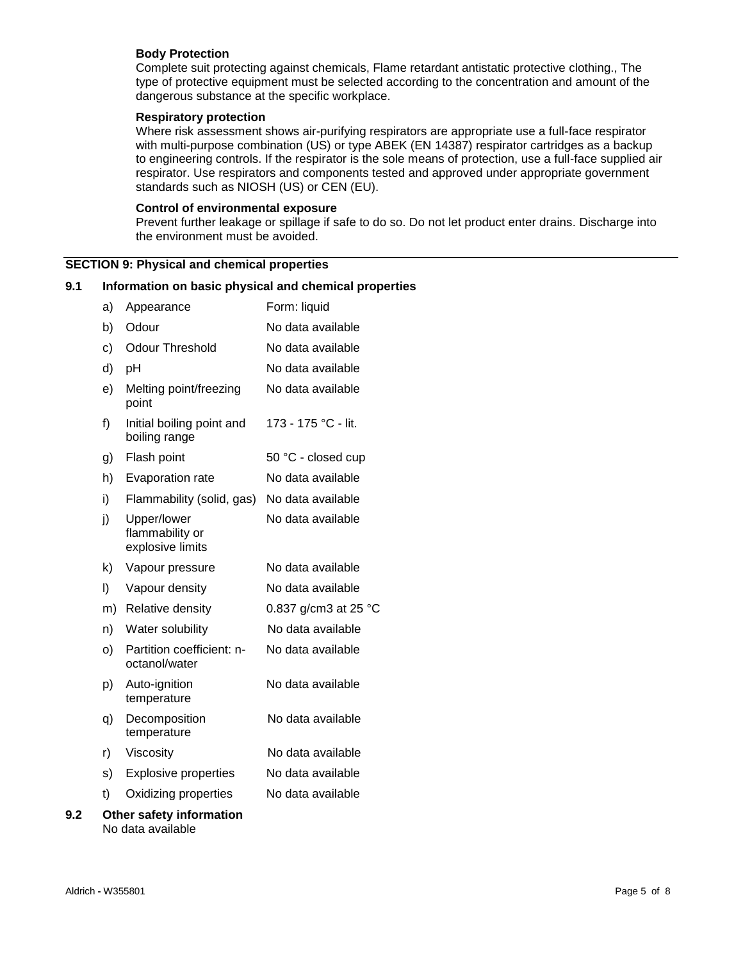## **Body Protection**

Complete suit protecting against chemicals, Flame retardant antistatic protective clothing., The type of protective equipment must be selected according to the concentration and amount of the dangerous substance at the specific workplace.

#### **Respiratory protection**

Where risk assessment shows air-purifying respirators are appropriate use a full-face respirator with multi-purpose combination (US) or type ABEK (EN 14387) respirator cartridges as a backup to engineering controls. If the respirator is the sole means of protection, use a full-face supplied air respirator. Use respirators and components tested and approved under appropriate government standards such as NIOSH (US) or CEN (EU).

#### **Control of environmental exposure**

Prevent further leakage or spillage if safe to do so. Do not let product enter drains. Discharge into the environment must be avoided.

# **SECTION 9: Physical and chemical properties**

#### **9.1 Information on basic physical and chemical properties**

|     | a) | Appearance                                         | Form: liquid         |
|-----|----|----------------------------------------------------|----------------------|
|     | b) | Odour                                              | No data available    |
|     | c) | <b>Odour Threshold</b>                             | No data available    |
|     | d) | pH                                                 | No data available    |
|     | e) | Melting point/freezing<br>point                    | No data available    |
|     | f) | Initial boiling point and<br>boiling range         | 173 - 175 °C - lit.  |
|     | g) | Flash point                                        | 50 °C - closed cup   |
|     | h) | Evaporation rate                                   | No data available    |
|     | i) | Flammability (solid, gas)                          | No data available    |
|     | j) | Upper/lower<br>flammability or<br>explosive limits | No data available    |
|     | k) | Vapour pressure                                    | No data available    |
|     | I) | Vapour density                                     | No data available    |
|     | m) | Relative density                                   | 0.837 g/cm3 at 25 °C |
|     | n) | Water solubility                                   | No data available    |
|     | O) | Partition coefficient: n-<br>octanol/water         | No data available    |
|     | p) | Auto-ignition<br>temperature                       | No data available    |
|     | q) | Decomposition<br>temperature                       | No data available    |
|     | r) | Viscosity                                          | No data available    |
|     | s) | <b>Explosive properties</b>                        | No data available    |
|     | t) | Oxidizing properties                               | No data available    |
| 9.2 |    | Other safety information                           |                      |

No data available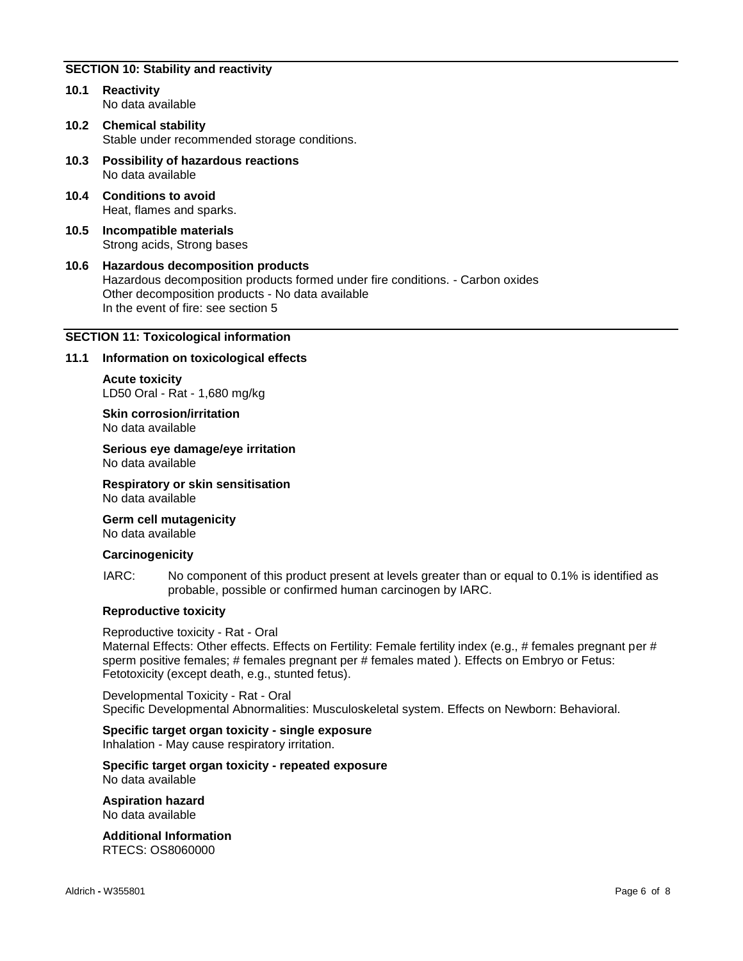# **SECTION 10: Stability and reactivity**

- **10.1 Reactivity** No data available
- **10.2 Chemical stability** Stable under recommended storage conditions.
- **10.3 Possibility of hazardous reactions** No data available
- **10.4 Conditions to avoid** Heat, flames and sparks.
- **10.5 Incompatible materials** Strong acids, Strong bases
- **10.6 Hazardous decomposition products** Hazardous decomposition products formed under fire conditions. - Carbon oxides Other decomposition products - No data available In the event of fire: see section 5

## **SECTION 11: Toxicological information**

## **11.1 Information on toxicological effects**

**Acute toxicity** LD50 Oral - Rat - 1,680 mg/kg

**Skin corrosion/irritation** No data available

**Serious eye damage/eye irritation** No data available

**Respiratory or skin sensitisation** No data available

**Germ cell mutagenicity** No data available

#### **Carcinogenicity**

IARC: No component of this product present at levels greater than or equal to 0.1% is identified as probable, possible or confirmed human carcinogen by IARC.

#### **Reproductive toxicity**

Reproductive toxicity - Rat - Oral Maternal Effects: Other effects. Effects on Fertility: Female fertility index (e.g., # females pregnant per # sperm positive females; # females pregnant per # females mated ). Effects on Embryo or Fetus: Fetotoxicity (except death, e.g., stunted fetus).

Developmental Toxicity - Rat - Oral Specific Developmental Abnormalities: Musculoskeletal system. Effects on Newborn: Behavioral.

#### **Specific target organ toxicity - single exposure**

Inhalation - May cause respiratory irritation.

**Specific target organ toxicity - repeated exposure** No data available

**Aspiration hazard** No data available

**Additional Information** RTECS: OS8060000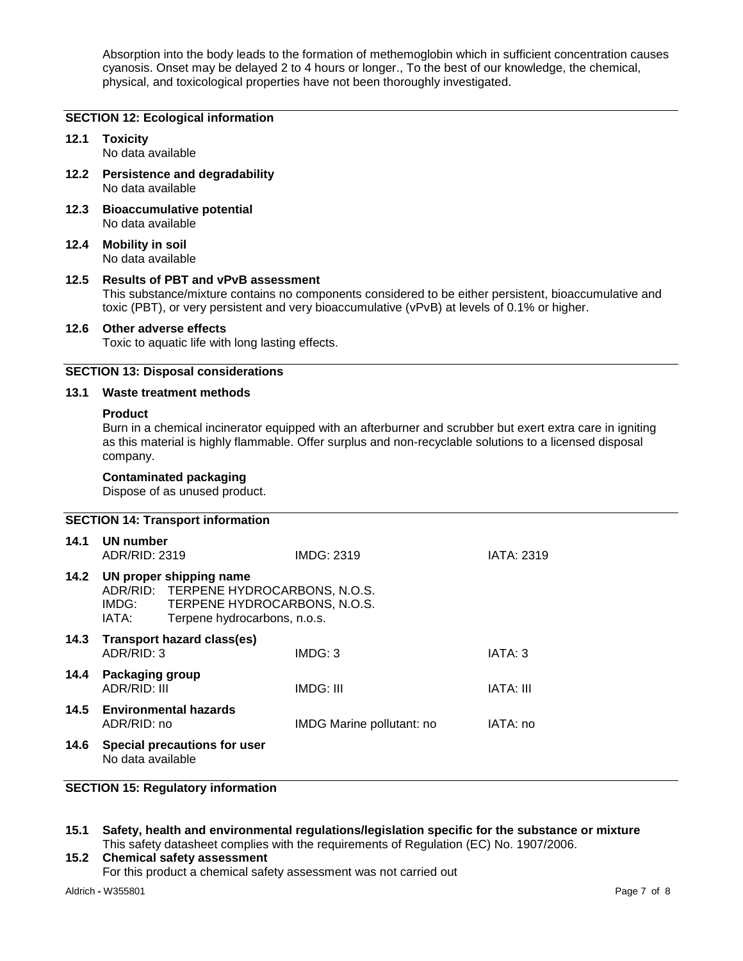Absorption into the body leads to the formation of methemoglobin which in sufficient concentration causes cyanosis. Onset may be delayed 2 to 4 hours or longer., To the best of our knowledge, the chemical, physical, and toxicological properties have not been thoroughly investigated.

#### **SECTION 12: Ecological information**

#### **12.1 Toxicity** No data available

- **12.2 Persistence and degradability** No data available
- **12.3 Bioaccumulative potential** No data available
- **12.4 Mobility in soil** No data available

#### **12.5 Results of PBT and vPvB assessment**

This substance/mixture contains no components considered to be either persistent, bioaccumulative and toxic (PBT), or very persistent and very bioaccumulative (vPvB) at levels of 0.1% or higher.

## **12.6 Other adverse effects**

Toxic to aquatic life with long lasting effects.

# **SECTION 13: Disposal considerations**

#### **13.1 Waste treatment methods**

#### **Product**

Burn in a chemical incinerator equipped with an afterburner and scrubber but exert extra care in igniting as this material is highly flammable. Offer surplus and non-recyclable solutions to a licensed disposal company.

#### **Contaminated packaging**

Dispose of as unused product.

# **SECTION 14: Transport information 14.1 UN number** ADR/RID: 2319 IMDG: 2319 IATA: 2319 **14.2 UN proper shipping name** ADR/RID: TERPENE HYDROCARBONS, N.O.S.<br>IMDG: TERPENE HYDROCARBONS, N.O.S. TERPENE HYDROCARBONS, N.O.S. IATA: Terpene hydrocarbons, n.o.s. **14.3 Transport hazard class(es)** ADR/RID: 3 IMDG: 3 IATA: 3 **14.4 Packaging group** ADR/RID: III IMDG: III IATA: III IATA: III IATA: III **14.5 Environmental hazards** ADR/RID: no IMDG Marine pollutant: no IATA: no **14.6 Special precautions for user** No data available

# **SECTION 15: Regulatory information**

**15.1 Safety, health and environmental regulations/legislation specific for the substance or mixture** This safety datasheet complies with the requirements of Regulation (EC) No. 1907/2006.

# **15.2 Chemical safety assessment** For this product a chemical safety assessment was not carried out